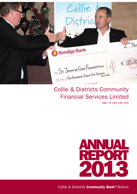

## Collie & Districts Community Financial Services Limited

ABN 76 096 536 355



Collie & Districts **Community Bank®** Branch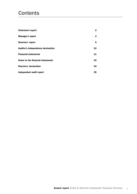## **Contents**

| <b>Chairman's report</b>           | 2  |
|------------------------------------|----|
| Manager's report                   | 4  |
| Directors' report                  | 5  |
| Auditor's independence declaration | 10 |
| <b>Financial statements</b>        | 11 |
| Notes to the financial statements  | 15 |
| <b>Directors' declaration</b>      | 34 |
| Independent audit report           | 35 |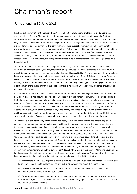# Chairman's report

## For year ending 30 June 2013

It is hard to believe that our **Community Bank®** branch has been fully operational for near on 12 years and when we all (the Board of Directors, the staff, the shareholders and customers) stand back and reflect on the achievements over that period of time, they really are quite remarkable. The branch started in October 2001 with very little working capital but in the full knowledge that there was a tough business plan to follow if the successes planned for were to come to fruition. The early years were hard but real determination and commitment by everyone involved has resulted in the branch now returning strong profits which are being shared by shareholders and the community alike. The Collie & Districts **Community Bank®** Branch is moving from strength to strength and I can assure you that it is the strong intention of the Board for this trend to continue well into the future; the Directors have, over recent years, set strong growth targets in its budget forecasts and by and large these have been delivered.

Your Board is pleased to announce that the profit for the year just ended amounted to \$804,122 which came about due to increased earnings and vigilant control of expenditures. The financial markets have been tough in recent times so within the very competitive market that your **Community Bank®** branch operates, the returns have been very pleasing indeed. Our banking business grew to a 'book value' of over \$153.6 million by year's end, a result which has placed your branch within the top performers in Western Australia. Equally shareholders were once again well catered for with a return (dividend) of 12.5 cents fully franked (\$53,783 total payment) and with a continuation of the strong growth of the business there is no reason why satisfactory dividends should not be achieved in the future.

It was reported in the 2012 Annual Report that the Board was about to open an agency in Darkan. I'm pleased to now report that this has occurred and has been well received by the Darkan community. The Board appreciates that take-up business has been relatively slow but as it is a strategic decision it will take time and patience and above all it offers the community of Darkan banking services on a level that they have not experienced before, or at least, for some considerable time. As awareness of the **Community Bank®** branch's name grows within that district, so will the growth of the business through the agency and hence the opportunity to retain more of the profit for community assets in the Darkan area. In the year under review the Board did contribute \$2,695 towards seven small projects in Darkan and through business growth we would like to see this number increase.

The emphasis of our **Community Bank®** branch has been, and still is, about serving and contributing to our local community in the best and most effective way possible. As the branch is now one of the leading contributors to community and sporting organisations locally, we are endeavouring to be "smarter" about the way in which branch profits are distributed. It is one thing to simply allocate cash contributions but it is much "smarter" to use those allocations as leverage towards additional funding from other sources such as State, Federal and Local Governments, agencies such as Lotterywest or even private or public companies. All funding applications are judged on their merits but of course we strongly favour those applicants who also happen to be customer account holders with our **Community Bank®** branch. The Board of Directors makes no apologies for this consideration as the funds only become available for distribution into the community in the first place through strong banking support from our customers. During the current year \$218,310 from Board funds and the Marketing Development Fund were expended on items for the benefit of the community and local business. A number of worthy causes have been assisted financially over the past year and the following list highlights just a few –

- A commitment to fund \$125,000 payable over five years towards the South West Coronary and Cancer Suite at the St John of God Hospital in Bunbury. The first \$25,000 payment was made this financial year;
- \$40,000 was contributed to the Collie Chamber of Commerce and Industry Inc to assist them with the purchase of their premises in Forrest Street Collie;
- • \$60,000 over five years will be contributed to the Collie Cycle Club Inc to assist with the staging of the Collie to Donnybrook Cycle Classic for which the branch will receive naming rights. The first payment of \$12,000 has been made for this year's event;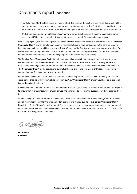- The Collie Riding for Disabled Group Inc received \$10,300 towards the cost of a new horse float which will be used to transport horses to the many country events the Group travels to. The float will be painted in Bendigo Bank colours and with the branch's name emblazoned upon it we will gain much publicity from the contribution;
- • \$7,000 was donated to our neighbouring community at Boyup Brook to cover the cost of purchasing a much needed 'AmbiCAD' property location device so vitally needed by their St John Ambulance service.

One of the projects your branch has proudly supported for the past couple of years is that of the 'Collie & Districts Community Bank® Branch Scholarship' scheme. Four local students have participated in the scheme since its inception and each has, or will have, received \$10,000 each for the first two years of their university studies. The branch will continue to participate in this scheme in future years as it strongly believes in both the educational benefits for our youth and their future meaningful participation within the wider society.

The Bendigo Bank/Community Bank® branch relationship is one which is as strong today as it was when we first commenced our **Community Bank®** branch operations back in 2001. We thank our banking partners for their assistance and guidance as without them all that we have achieved to date would not have been possible. The Community Bank® model operates to our mutual benefit and I, and your Board of Directors, could now not contemplate our Collie community being without it.

I must say a special thank-you to all our customers who have supported us so well over the past year, and the years before that, as without your valuable support our/your Community Bank® branch would not be in the solid financial position it is today.

Special mention is made of the time and commitment provided by your Board of Directors who all work so diligently to ensure that your business, your branch, thrives and continues to produce the successes we have enjoyed thus far.

And in closing, on behalf of the Board of Directors, I wish to sincerely thank our Branch Manager Mr. Travis Ellison and all his wonderful staff for the time and effort they put into making our Collie & Districts Community Bank® Branch the "Bank of Choice". I believe our staff goes above and beyond their banking duties to ensure our branch promotes a happy and welcoming environment. Together we can all achieve great things which can only be good for the future well-being of our community.

a misséeri

Ian Miffling Chairman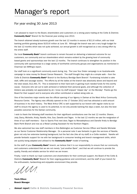# Manager's report

## For year ending 30 June 2013

I am pleased to report to the Board, shareholders and customers on a strong years trading at the Collie & Districts Community Bank® Branch for the financial year ending June 2013.

The branch attained steady business growth over the last 12 months in excess of \$11.6 million, with our total banking portfolio growing above \$153.6 million at June 30. Although the branch was set a very tough budget for the last 12 months which was not quite achieved, our annual growth is still recognised as a very strong effort by the entire staff.

Our local Community Bank<sup>®</sup> branch continues to remain focused on delivering a balanced outcome for our customers, our community and our shareholders which remains evident by the growing level of community based grants and sponsorships over the last 12 months. The branch continues to strengthen its position in the community with sponsorships to a large variety of worthwhile community groups and organisations as mentioned in Chairman Ian Miffling's report.

Our staff took on a significant community event during July. The Love Your Sister campaign is an Australia-wide campaign to raise money for Breast Cancer Research. The staff thought they might do a simple walk – from the Collie & Districts Community Bank® Branch to the Bunbury Bendigo Bank Branch! Fundraising included a cake stall, raffle and sausage sizzles. The efforts by all the ladies at the branch was absolutely above and beyond and the total raised, \$12,491.75. This is testament to their hard work in gaining much needed funds for this worthy cause. Everyone who set out to walk achieved or bettered their personal goals, and although the collection of blisters was probably not appreciated by all, I know my staff enjoyed "slipper day" on the Monday! Thanks go the Board for their support and to everyone who either contributed or walked along side us.

One of the branches major events was the official opening of our Agency in Darkan at the West Arthur Community Resource Centre. The Agency was officially opened on the 17 October 2012 and has attracted a solid amount of business in its short history. The West Arthur CRC is well supported by our branch with regular visits by our staff to ensure the agency is used to its potential, to not only provide banking five days a week, but also the best possible outcomes for the Darkan community.

I wish to thank the following staff members for their significant contributions over the last 12 months: Sharon, Jody, Darcy, Michelle, Kristy, Narelle, Kira, Sue, Danelle and Tegan. In the last 12 months we saw the resignation of three of our staff members – Sue to Sports First next door, Tegan to Monadelphous and Danelle firstly to Bendigo Bank Perth Branch and now as a Retail Lending Assistant for the Northern Region.

We also welcomed two new staff members in Kira Bebbington as Customer Service Officer and Narelle Michalak as our Senior Customer Relationship Manager. On a personal note it was fantastic to gain the services of Narelle, given not only her extensive banking background, but the fact she (like all my staff) is a Collie resident. Narelle will provide fantastic support for me with her background in consumer lending and branch management skills, which are quickly being adapted and utilised to the **Community Bank®** model of banking.

As the staff of your **Community Bank®** branch, we believe that it is our responsibility to ensure that our community and customers understand that we are not merely "just another Bank", and that we will continue to provide the quality, friendly and reliable service for which we are known.

Finally, I wish to thank our loyal customers and shareholders for their continued support, the Board of the Collie & Districts Community Bank® Branch for their ongoing guidance and commitment, and the staff of your branch for the enthusiastic, hardworking and enjoyable environment they provide.

INM.

Travis Ellison Branch Manager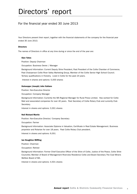# Directors' report

## For the financial year ended 30 June 2013

Your Directors present their report, together with the financial statements of the company for the financial year ended 30 June 2013.

#### **Directors**

The names of Directors in office at any time during or since the end of the year are:

#### Glyn Yates

Position: Deputy Chairman

Occupation: Business Owner / Manager

Background Information: Current Deputy Shire President, Past President of the Collie Chamber of Commerce, Past Chairperson Collie River Valley Marketing Group, Member of the Collie Senior High School Council. Tertiary qualifications in Forestry. Lived in Collie for the past 24 years. Interest in shares and options: 5,000 shares

#### Guisseppe (Joseph) John Italiano

Position: Non-Executive Director

Occupation: Company Manager

Background Information: Currently the WA Regional Manager for Rural Press Limited. Has worked for Collie Mail and associated companies for over 40 years. Past Secretary of Collie Rotary Club and currently Club Secretary.

Interest in shares and options: 3,301 shares

#### Neil Richard Martin

Position: Non-Executive Director/ Company Secretary

Occupation: Farmer

Background Information: Associate Diploma in Valuation, Certificate in Real Estate Management. Business proprietor and Rotarian for over 18 years. Past Collie Rotary Club president.

Interest in shares and options: 6,001

#### Ian Houghton Miffling

Position: Chairman

Occupation: Retired

Background Information: Former Chief Executive Officer of the Shire of Collie, Justice of the Peace, Collie Shire Councillor, Member of Board of Management Riverview Residence Collie and Board Secretary The Coal Miners Welfare Board of WA.

Interest in shares and options: 4,501 shares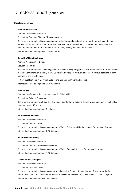#### Directors (continued)

#### John Alfred Piavanini

Position: Non-Executive Director

Occupation: Company Director / Business Owner

Background Information: Business proprietor selling new and used earthmover parts as well as rental and farming properties. Collie Shire Councillor, past Member of the Board of Collie Chamber of Commerce and Industry and a former Board Member of the Bunbury Wellington Economic Alliance. Interest in shares and options: 13,001 shares

#### Kenneth William Smallwood

Position: Non-Executive Director

Occupation: Retired

Background Information: Ex-Chief Engineer UK Merchant Navy, emigrated to WA from Scotland in 1983. Worked in the Power Generation industry in WA, SE Asia and Singapore for over 24 years, in various positions in both operations and maintenance.

Tertiary qualifications in Electrical Engineering and Marine Power Engineering.

Interest in shares and options: 21,600 shares

#### Jeffery Riley

Position: Non-Executive Director (appointed 02/11/2012)

Occupation: Building Supervisor

Background Information: Jeff is a Building Supervisor for White Building Company and has been in the building industry for over 15 years.

Interest in shares and options: Nil shares

#### Ian Johnstone Shannon

Position: Non-Executive Director Occupation: Self Employed Background Information: Business proprietor of Collie Salvage and Hardware Store for the past 15 years. Interest in shares and options: 2,500 shares

#### Paul Raymond Sweeney

Position: Non-Executive Director Occupation: Self Employed Business Owner Background Information: Business proprietor of Collie Electrical Services for the past 12 years. Interest in shares and options: 1,500 shares

#### Colleen Maree DeAngelis

Position: Non-Executive Director

Occupation: Business Owner

Background Information: Business Owner of hairdressing Salon. Life member and Treasurer for the Collie Netball Association and Treasurer for the Collie Basketball Association. Has lived in Collie for 25 years. Interest in shares and options: 100 shares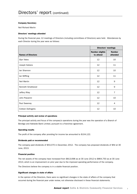#### Company Secretary

Neil Richard Martin

#### Directors' meetings attended

During the financial year, 12 meetings of Directors (including committees of Directors) were held. Attendances by each Director during the year were as follows:

|                           | <b>Directors' meetings</b>   |                           |
|---------------------------|------------------------------|---------------------------|
| <b>Names of Directors</b> | Number eligible<br>to attend | <b>Number</b><br>attended |
| <b>Glyn Yates</b>         | 12                           | 10                        |
| Joseph Italiano           | 12                           | 11                        |
| lan Shannon               | 12                           | 10                        |
| lan Miffling              | 12                           | 11                        |
| Neil Martin               | 12                           | 9                         |
| Kenneth Smallwood         | 12                           | 9                         |
| Jeffery Riley             | $12 \overline{ }$            | $\overline{7}$            |
| John Piavanini            | 12                           | 10                        |
| Paul Sweeney              | 12 <sup>2</sup>              | 4                         |
| Colleen DeAngelis         | 12                           | 10                        |

#### Principal activity and review of operations

The principal activity and focus of the company's operations during the year was the operation of a Branch of Bendigo and Adelaide Bank Limited, pursuant to a franchise agreement.

#### Operating results

The profit of the company after providing for income tax amounted to \$104,122.

#### Dividends paid or recommended

The company paid dividends of \$53,070 in December, 2012. The company has proposed dividends of \$Nil at 30 June, 2013.

#### Financial position

The net assets of the company have increased from \$813,698 as at 30 June 2012 to \$864,750 as at 30 June 2013, which is an improvement on prior year due to the improved operating performance of the company.

The Directors believe the company is in a stable financial position.

#### Significant changes in state of affairs

In the opinion of the Directors, there were no significant changes in the state of affairs of the company that occurred during the financial year under review, not otherwise disclosed in these financial statements.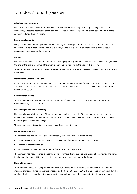#### After balance date events

No matters or circumstances have arisen since the end of the financial year that significantly affected or may significantly affect the operations of the company, the results of those operations, or the state of affairs of the company in future financial years.

#### Future developments

Likely developments in the operations of the company and the expected results of those operations in future financial years have not been included in this report, as the inclusion of such information is likely to result in unreasonable prejudice to the company.

#### **Options**

No options over issued shares or interests in the company were granted to Directors or Executives during or since the end of the financial year and there were no options outstanding at the date of this report.

The Directors and Executive do not own any options over issued shares or interests in the company at the date of this report.

#### Indemnifying Officers or Auditor

Indemnities have been given, during and since the end of the financial year, for any persons who are or have been a Director or an Officer, but not an Auditor, of the company. The insurance contract prohibits disclosure of any details of the cover.

#### Environmental issues

The company's operations are not regulated by any significant environmental regulation under a law of the Commonwealth, State or Territory.

#### Proceedings on behalf of company

No person has applied for leave of Court to bring proceedings on behalf of the company or intervene in any proceedings to which the company is a party for the purpose of taking responsibility on behalf of the company for all or any part of those proceedings.

The company was not a party to any such proceedings during the year.

#### Corporate governance

The company has implemented various corporate governance practices, which include:

- a) Director approval of operating budgets and monitoring of progress against these budgets;
- b) Ongoing Director training; and
- c) Monthly Director meetings to discuss performance and strategic plans.

The company has not appointed a separate audit committee due to the size and nature of operations. The normal functions and responsibilities of an audit committee have been assumed by the Board.

#### Non-audit services

The Board is satisfied that the provision of non-audit services during the year is compatible with the general standard of independence for Auditors imposed by the Corporations Act 2001. The Directors are satisfied that the services disclosed below did not compromise the external Auditor's independence for the following reasons: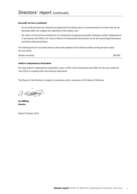#### Non-audit services (continued)

- • all non-audit services are reviewed and approved by the Board prior to commencement to ensure they do not adversely affect the integrity and objectivity of the Auditor; and
- • the nature of the services provided do not compromise the general principles relating to Auditor independence in accordance with APES 110: Code of Ethics for Professional Accountants set by the Accounting Professional and Ethical Standards Board.

The following fees for non-audit services were paid/payable to the external Auditors during the year ended 30 June 2013:

Taxation services: \$6,050

#### Auditor's Independence Declaration

The lead Auditor's independence declaration under s 307C of the Corporations Act 2001 for the year ended 30 June 2013 is included within the financial statements.

This Report of the Directors is signed in accordance with a resolution of the Board of Directors.

a missey

Ian Miffling Director

Dated 2 October 2013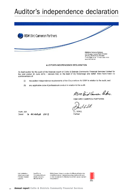# Auditor's independence declaration



#### **AUDITOR'S INDEPENDENCE DECLARATION**

As lead auditor for the audit of the financial report of Collie & Districts Community Financial Services Limited for the year ended 30 June 2013, I declare that, to the best of my knowledge and belief, there have been no contraventions of:

- the auditor independence requirements of the Corporations Act 2001 in relation to the audit; and  $\langle i \rangle$
- $(ii)$ any applicable code of professional conduct in relation to the audit.

RSM Bid Cameon Parks.

RSM BIRD CAMERON PARTNERS

 $1664$ 

**DJWALL** Partner

Perth, WA Dated  $2000000002013$ 

Liability limited by a scheme approved under Professional Standards Legislation

Major Offices in: Perch, Sydney, Melbourne, Adelaide and Canberra ABN 36 965 185 336

RSM Bird Cameron Partners is a member of the RSM network. Each member of the RSM network is an independent accounting and advisory firm writch practises in its own right. The RSM network is not itself a separate legal entity in any jurisdiction.

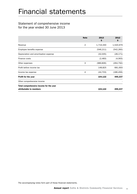# Financial statements

## Statement of comprehensive income for the year ended 30 June 2013

|                                                                    | <b>Note</b>    | 2013<br>\$ | 2012<br>\$. |
|--------------------------------------------------------------------|----------------|------------|-------------|
| Revenue                                                            | $\overline{2}$ | 1,719,330  | 1,520,979   |
| Employee benefits expense                                          |                | (546, 211) | (542, 260)  |
| Depreciation and amortisation expense                              |                | (32,005)   | (28, 171)   |
| Finance costs                                                      |                | (2, 483)   | (4,063)     |
| Other expenses                                                     | 3              | (989, 806) | (264, 792)  |
| Profit before income tax                                           |                | 148,825    | 681,693     |
| Income tax expense                                                 | 4              | (44, 703)  | (186, 456)  |
| Profit for the year                                                |                | 104,122    | 495,237     |
| Other comprehensive income                                         |                |            |             |
| Total comprehensive income for the year<br>attributable to members |                | 104,122    | 495,237     |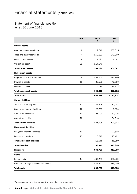## Statement of financial position as at 30 June 2013

|                                        | <b>Note</b> | 2013<br>\$ | 2012<br>\$ |
|----------------------------------------|-------------|------------|------------|
| <b>Current assets</b>                  |             |            |            |
| Cash and cash equivalents              | 6           | 112,746    | 350,615    |
| Trade and other receivables            | 7           | 150,203    | 149,900    |
| Other current assets                   | 8           | 4,091      | 4,547      |
| Current tax asset                      | 22          | 114,140    |            |
| <b>Total current assets</b>            |             | 381,180    | 505,062    |
| <b>Non-current assets</b>              |             |            |            |
| Property, plant and equipment          | 9           | 592,545    | 595,940    |
| Intangible assets                      | 10          | 32,500     | 42,500     |
| Deferred tax asset                     | 22          | 15,174     | 14,122     |
| <b>Total non-current assets</b>        |             | 640,219    | 652,562    |
| <b>Total assets</b>                    |             | 1,021,399  | 1,157,624  |
| <b>Current liabilities</b>             |             |            |            |
| Trade and other payables               | 11          | 85,208     | 80,207     |
| Short-term financial liabilities       | 12          | 27,708     | 6,384      |
| Short-term provisions                  | 13          | 28,193     | 31,426     |
| Current tax liability                  | 22          |            | 184,910    |
| <b>Total current liabilities</b>       |             | 141,109    | 302,927    |
| <b>Non-current liabilities</b>         |             |            |            |
| Long-term financial liabilities        | 12          |            | 27,598     |
| Long-term provisions                   | 13          | 15,540     | 13,401     |
| <b>Total non-current liabilities</b>   |             | 15,540     | 40,999     |
| <b>Total liabilities</b>               |             | 156,649    | 343,926    |
| <b>Net assets</b>                      |             | 864,750    | 813,698    |
| <b>Equity</b>                          |             |            |            |
| Issued capital                         | 14          | 430,259    | 430,259    |
| Retained earnings/(accumulated losses) |             | 434,491    | 383,439    |
| <b>Total equity</b>                    |             | 864,750    | 813,698    |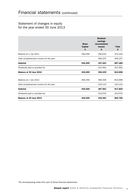## Statement of changes in equity for the year ended 30 June 2013

|                                         | <b>Share</b><br><b>Capital</b><br>S | <b>Retained</b><br>earnings<br>(accumulated<br>losses)<br>\$ | <b>Total</b><br>\$ |
|-----------------------------------------|-------------------------------------|--------------------------------------------------------------|--------------------|
| Balance at 1 July 2011                  | 430,259                             | (58,016)                                                     | 372,243            |
| Total comprehensive income for the year |                                     | 495,237                                                      | 495,237            |
| <b>Subtotal</b>                         | 430,259                             | 437,221                                                      | 867,480            |
| Dividends paid or provided for          |                                     | (53, 782)                                                    | (53, 782)          |
| Balance at 30 June 2012                 | 430,259                             | 383,439                                                      | 813,698            |
| Balance at 1 July 2012                  | 430,259                             | 383,439                                                      | 813,698            |
| Total comprehensive income for the year |                                     | 104,122                                                      | 104,122            |
| <b>Subtotal</b>                         | 430,259                             | 487,561                                                      | 917,820            |
| Dividends paid or provided for          |                                     | (53,070)                                                     | (53,070)           |
| Balance at 30 June 2013                 | 430,259                             | 434,491                                                      | 864,750            |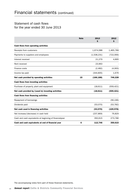## Statement of cash flows for the year ended 30 June 2013

|                                                         | <b>Note</b> | 2013<br>\$  | 2012<br>\$ |
|---------------------------------------------------------|-------------|-------------|------------|
| <b>Cash flows from operating activities</b>             |             |             |            |
| Receipts from customers                                 |             | 1,674,088   | 1,465,789  |
| Payments to suppliers and employees                     |             | (1,538,231) | (722,069)  |
| Interest received                                       |             | 21,279      | 4,895      |
| Rent received                                           |             | 23,963      |            |
| Finance costs                                           |             | (2,482)     | (4,063)    |
| Income tax paid                                         |             | (344, 805)  | 1,676      |
| Net cash provided by operating activities               | 15          | (166, 188)  | 746,228    |
| <b>Cash flows from investing activities</b>             |             |             |            |
| Purchase of property, plant and equipment               |             | (18, 611)   | (559, 421) |
| Net cash provided by/(used in) investing activities     |             | (18, 611)   | (559, 421) |
| <b>Cash flows from financing activities</b>             |             |             |            |
| Repayment of borrowings                                 |             |             | (56, 196)  |
| Dividends paid                                          |             | (53,070)    | (53, 782)  |
| Net cash used in financing activities                   |             | (53,070)    | (109, 978) |
| Net increase/(decrease) in cash held                    |             | (237, 869)  | 76,829     |
| Cash and cash equivalents at beginning of financialyear |             | 350,615     | 273,786    |
| Cash and cash equivalents at end of financial year      | 6           | 112,746     | 350,615    |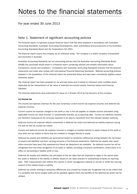# Notes to the financial statements

## For year ended 30 June 2013

### Note 1. Statement of significant accounting policies

The financial report is a general purpose financial report that has been prepared in accordance with Australian Accounting Standards, Australian Accounting Interpretations, other authoritative pronouncements of the Australian Accounting Standards Board and the Corporations Act 2001.

The financial report covers the company as an individual entity. The company is a public company, incorporated and domiciled in Australia.

Australian Accounting Standards set out accounting policies that the Australian Accounting Standards Board (AASB) has concluded would result in a financial report containing relevant and reliable information about transactions, events and conditions. Compliance with Australian Accounting Standards ensures that the financial statements and notes also comply with International Financial Reporting Standards. Material accounting policies adopted in the preparation of this financial report are presented below and have been consistently applied unless otherwise stated.

The financial report has been prepared on an accruals basis and is based on historical costs modified where applicable by the measurement at fair value of selected non-current assets, financial assets and financial liabilities.

The financial statements were authorised for issue on 2 October 2013 by the Directors of the company.

#### (a) Income tax

The income tax expense (revenue) for the year comprises current income tax expense (income) and deferred tax expense (income).

Current income tax expense charged to the profit or loss is the tax payable on taxable income calculated using applicable income tax rates enacted, or substantially enacted, as at reporting date. Current tax liabilities (assets) are therefore measured at the amounts expected to be paid to (recovered from) the relevant taxation authority.

Deferred income tax expense reflects movements in deferred tax asset and deferred tax liability balances during the year as well as unused tax losses.

Current and deferred income tax expense (income) is charged or credited directly to equity instead of the profit or loss when the tax relates to items that are credited or charged directly to equity.

Deferred tax assets and liabilities are ascertained based on temporary differences arising between the tax bases of assets and liabilities and their carrying amounts in the financial statements. Deferred tax assets also result where amounts have been fully expensed but future tax deductions are available. No deferred income tax will be recognised from the initial recognition of an asset or liability, excluding a business combination, where there is no effect on accounting or taxable profit or loss.

Deferred tax assets and liabilities are calculated at the tax rates that are expected to apply to the period when the asset is realised or the liability is settled, based on tax rates enacted or substantively enacted at reporting date. Their measurement also reflects the manner in which management expects to recover or settle the carrying amount of the related asset or liability.

Deferred tax assets relating to temporary differences and unused tax losses are recognised only to the extent that it is probable that future taxable profit will be available against which the benefits of the deferred tax asset can be utilised.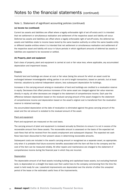#### (a) Income tax (continued)

Current tax assets and liabilities are offset where a legally enforceable right of set off exists and it is intended that net settlement or simultaneous realisation and settlement of the respective asset and liability will occur. Deferred tax assets and liabilities are offset where a legally enforceable right of set-off exists, the deferred tax assets and liabilities relate to income taxes levied by the same taxation authority on either the same taxable entity or different taxable entities where it is intended that net settlement or simultaneous realisation and settlement of the respective asset and liability will occur in future periods in which significant amounts of deferred tax assets or liabilities are expected to be recovered or settled.

#### (b) Property, plant and equipment

Each class of property, plant and equipment is carried at cost or fair value less, where applicable, any accumulated depreciation and impairment losses.

#### **Property**

Freehold land and buildings are shown at cost or fair value (being the amount for which an asset could be exchanged between knowledgeable willing parties in an arm's length transaction), based on periodic, but at least triennial, valuations by external independent valuers, less subsequent depreciation for buildings.

Increases in the carrying amount arising on revaluation of land and buildings are credited to a revaluation reserve in equity. Decreases that offset previous increases of the same asset are charged against fair value reserves directly in equity; all other decreases are charged to the statement of comprehensive income. Each year the difference between depreciation based on the revalued carrying amount of the asset charged to the statement of comprehensive income and depreciation based on the asset's original cost is transferred from the revaluation reserve to retained earnings.

Any accumulated depreciation at the date of revaluation is eliminated against the gross carrying amount of the asset and the net amount is restated to the revalued amount of the asset.

#### Plant and equipment

Plant and equipment are measured on the cost basis.

The carrying amount of plant and equipment is reviewed annually by Directors to ensure it is not in excess of the recoverable amount from these assets. The recoverable amount is assessed on the basis of the expected net cash flows that will be received from the assets employment and subsequent disposal. The expected net cash flows have been discounted to their present values in determining recoverable amounts.

Subsequent costs are included in the asset's carrying amount or recognised as a separate asset, as appropriate, only when it is probable that future economic benefits associated with the item will flow to the company and the cost of the item can be measured reliably. All other repairs and maintenance are charged to the statement of comprehensive income during the financial year in which they are incurred.

#### **Depreciation**

The depreciable amount of all fixed assets including building and capitalised lease assets, but excluding freehold land, is depreciated on a straight line basis over their useful lives to the company commencing from the time the asset is held ready for use. Leasehold improvements are depreciated over the shorter of either the unexpired period of the lease or the estimated useful lives of the improvements.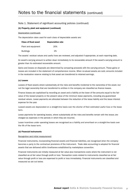#### (b) Property, plant and equipment (continued)

#### Depreciation (continued)

The depreciation rates used for each class of depreciable assets are:

| <b>Class of fixed asset</b> | <b>Depreciation rate</b> |
|-----------------------------|--------------------------|
| Plant and equipment         | 20%                      |
| <b>Buildings</b>            | 2%                       |

The assets' residual values and useful lives are reviewed, and adjusted if appropriate, at each reporting date.

An asset's carrying amount is written down immediately to its recoverable amount if the asset's carrying amount is greater than its estimated recoverable amount.

Gains and losses on disposals are determined by comparing proceeds with the carrying amount. These gains or losses are included in the statement of comprehensive income. When re-valued assets are sold, amounts included in the revaluation reserve relating to that asset are transferred to retained earnings.

#### (c) Leases

Leases of fixed assets where substantially all the risks and benefits incidental to the ownership of the asset, but not the legal ownership that are transferred to entities in the company are classified as finance leases.

Finance leases are capitalised by recording an asset and a liability at the lower of the amounts equal to the fair value of the leased property or the present value of the minimum lease payments, including any guaranteed residual values. Lease payments are allocated between the reduction of the lease liability and the lease interest expense for the year.

Leased assets are depreciated on a straight-line basis over the shorter of their estimated useful lives or the lease term.

Lease payments for operating leases, where substantially all the risks and benefits remain with the lessor, are charged as expenses in the periods in which they are incurred.

Lease incentives under operating leases are recognised as a liability and amortised on a straight-line basis over the life of the lease term.

#### (d) Financial instruments

#### Recognition and initial measurement

Financial instruments, incorporating financial assets and financial liabilities, are recognised when the company becomes a party to the contractual provisions of the instrument. Trade date accounting is adopted for financial assets that are delivered within timeframes established by marketplace convention.

Financial instruments are initially measured at fair value plus transactions costs where the instrument is not classified as at fair value through profit or loss. Transaction costs related to instruments classified as at fair value through profit or loss are expensed to profit or loss immediately. Financial instruments are classified and measured as set out below.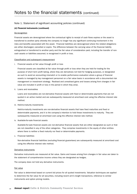#### (d) Financial instruments (continued)

#### De-recognition

Financial assets are derecognised where the contractual rights to receipt of cash flows expires or the asset is transferred to another party whereby the company no longer has any significant continuing involvement in the risks and benefits associated with the asset. Financial liabilities are derecognised where the related obligations are either discharged, cancelled or expire. The difference between the carrying value of the financial liability extinguished or transferred to another party and the fair value of consideration paid, including the transfer of noncash assets or liabilities assumed, is recognised in profit or loss.

#### Classification and subsequent measurement

i. Financial assets at fair value through profit or loss

Financial assets are classified at fair value through profit or loss when they are held for trading for the purpose of short term profit taking, where they are derivatives not held for hedging purposes, or designated as such to avoid an accounting mismatch or to enable performance evaluation where a group of financial assets is managed by key management personnel on a fair value basis in accordance with a documented risk management or investment strategy. Realised and unrealised gains and losses arising from changes in fair value are included in profit or loss in the period in which they arise.

ii. Loans and receivables

Loans and receivables are non-derivative financial assets with fixed or determinable payments that are not quoted in an active market and are subsequently measured at amortised cost using the effective interest rate method.

iii. Held-to-maturity investments

Held-to-maturity investments are non-derivative financial assets that have fixed maturities and fixed or determinable payments, and it is the company's intention to hold these investments to maturity. They are subsequently measured at amortised cost using the effective interest rate method.

iv. Available-for-sale financial assets

Available-for-sale financial assets are non-derivative financial assets that are either designated as such or that are not classified in any of the other categories. They comprise investments in the equity of other entities where there is neither a fixed maturity nor fixed or determinable payments.

v. Financial liabilities

Non-derivative financial liabilities (excluding financial guarantees) are subsequently measured at amortised cost using the effective interest rate method.

#### Derivative instruments

Derivative instruments are measured at fair value. Gains and losses arising from changes in fair value are taken to the statement of comprehensive income unless they are designated as hedges.

The company does not hold any derivative instruments.

#### Fair value

Fair value is determined based on current bid prices for all quoted investments. Valuation techniques are applied to determine the fair value for all securities, including recent arm's length transactions, reference to similar instruments and option pricing models.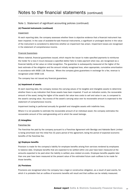#### (d) Financial instruments (continued)

#### **Impairment**

At each reporting date, the company assesses whether there is objective evidence that a financial instrument has been impaired. In the case of available-for-sale financial instruments, a significant or prolonged decline in the value of the instrument is considered to determine whether an impairment has arisen. Impairment losses are recognised in the statement of comprehensive income.

#### Financial Guarantees

Where material, financial guarantees issued, which require the issuer to make specified payments to reimburse the holder for a loss it incurs because a specified debtor fails to make payment when due, are recognised as a financial liability at fair value on initial recognition. The guarantee is subsequently measured at the higher of the best estimate of the obligation and the amount initially recognised less, when appropriate, cumulative amortisation in accordance with AASB 118: Revenue. Where the company gives guarantees in exchange for a fee, revenue is recognised under AASB 118.

The company has not issued any financial guarantees.

#### (e) Impairment of assets

At each reporting date, the company reviews the carrying values of its tangible and intangible assets to determine whether there is any indication that those assets have been impaired. If such an indication exists, the recoverable amount of the asset, being the higher of the asset's fair value less costs to sell and value in use, is compared to the asset's carrying value. Any excess of the asset's carrying value over its recoverable amount is expensed to the statement of comprehensive income.

Impairment testing is performed annually for goodwill and intangible assets with indefinite lives.

Where it is not possible to estimate the recoverable amount of an individual asset, the company estimates the recoverable amount of the cash-generating unit to which the asset belongs.

#### (f) Intangibles

#### Franchise fee

The franchise fee paid by the company pursuant to a Franchise Agreement with Bendigo and Adelaide Bank Limited is being amortised over the initial five (5) years period of the agreement, being the period of expected economic benefits of the franchise fee.

#### (g) Employee benefits

Provision is made for the company's liability for employee benefits arising from services rendered by employees to balance date. Employee benefits that are expected to be settled within one year have been measured at the amounts expected to be paid when the liability is settled, plus related on-costs. Employee benefits payable later than one year have been measured at the present value of the estimated future cash outflows to be made for those benefits.

#### (h) Provisions

Provisions are recognised when the company has a legal or constructive obligation, as a result of past events, for which it is probable that an outflow of economic benefits will result and that outflow can be reliably measured.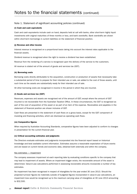#### (i) Cash and cash equivalents

Cash and cash equivalents include cash on hand, deposits held at call with banks, other short-term highly liquid investments with original maturities of three months or less, and bank overdrafts. Bank overdrafts are shown within short-term borrowings in current liabilities on the statement of financial position.

#### (j) Revenue and other income

Interest revenue is recognised on a proportional basis taking into account the interest rates applicable to the financial assets.

Dividend revenue is recognised when the right to receive a dividend has been established.

Revenue from the rendering of a service is recognised upon the delivery of the service to the customers.

All revenue is stated net of the amount of goods and services tax (GST).

#### (k) Borrowing costs

Borrowing costs directly attributable to the acquisition, construction or production of assets that necessarily take a substantial period of time to prepare for their intended use or sale, are added to the cost of those assets, until such time as the assets are substantially ready for their intended use of sale.

All other borrowing costs are recognised in income in the period in which they are incurred.

#### (l) Goods and services tax (GST)

Revenues, expenses and assets are recognised net of the amount of GST, except where the amount of GST incurred is not recoverable from the Australian Taxation Office. In these circumstances, the GST is recognised as part of the cost of acquisition of the asset or as part of an item of the expense. Receivables and payables in the statement of financial position are shown inclusive of GST.

Cash flows are presented in the statement of cash flows on a gross basis, except for the GST component of investing and financing activities, which are disclosed as operating cash flows.

#### (m) Comparative figures

When required by Australian Accounting Standards, comparative figures have been adjusted to conform to changes in presentation for the current financial year.

#### (n) Critical accounting estimates and judgments

The Directors evaluate estimates and judgments incorporated into the financial report based on historical knowledge and best available current information. Estimates assume a reasonable expectation of future events and are based on current trends and economic data, obtained both externally and within the company.

#### Key estimates — Impairment

The company assesses impairment at each reporting date by evaluating conditions specific to the company that may lead to impairment of assets. Where an impairment trigger exists, the recoverable amount of the asset is determined. Value-in-use calculations performed in assessing recoverable amounts incorporate a number of key estimates.

No impairment has been recognised in respect of intangibles for the year ended 30 June 2013. Should the projected turnover figures be materially outside of budgeted figures incorporated in value-in-use calculations, an impairment loss would be recognised up to the maximum carrying value of intangibles at 30 June 2013 amounting to \$32,500.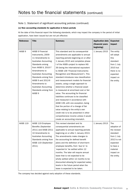#### (o) New accounting standards for application in future periods

At the date of this financial report the following standards, which may impact the company in the period of initial application, have been issued but are not yet effective:

| <b>Reference</b>  | <b>Title</b>                                                                                                                                                                                                                                                                                                                           | <b>Summary</b>                                                                                                                                                                                                                                                                                                                                                                                                                                                                                                                                                                                                                                                                                                                                                                                                                                                                                      | <b>Application date</b><br>(financial years<br>beginning) | <b>Expected</b><br><b>Impact</b>                                                                                                             |
|-------------------|----------------------------------------------------------------------------------------------------------------------------------------------------------------------------------------------------------------------------------------------------------------------------------------------------------------------------------------|-----------------------------------------------------------------------------------------------------------------------------------------------------------------------------------------------------------------------------------------------------------------------------------------------------------------------------------------------------------------------------------------------------------------------------------------------------------------------------------------------------------------------------------------------------------------------------------------------------------------------------------------------------------------------------------------------------------------------------------------------------------------------------------------------------------------------------------------------------------------------------------------------------|-----------------------------------------------------------|----------------------------------------------------------------------------------------------------------------------------------------------|
| AASB <sub>9</sub> | AASB 9 Financial<br>Instruments, 2009-<br>11 Amendments to<br><b>Australian Accounting</b><br>Standards arising<br>from AASB 9, 2010-7<br>Amendments to<br><b>Australian Accounting</b><br>Standards arising from<br>AASB 9 and 2012-6<br>Amendments to<br><b>Australian Accounting</b><br>Standards arising from<br>AASB <sub>9</sub> | This standard and its consequential<br>amendments are applicable to annual<br>reporting periods beginning on or after<br>1 January 2015 and completes phase<br>I of the IASB's project to replace IAS<br>39 (being the international equivalent<br>to AASB 139 'Financial Instruments:<br>Recognition and Measurement'). This<br>standard introduces new classification<br>and measurement models for financial<br>assets, using a single approach to<br>determine whether a financial asset<br>is measured at amortised cost or fair<br>value. The accounting for financial<br>liabilities continues to be classified<br>and measured in accordance with<br>AASB 139, with one exception, being<br>that the portion of a change of fair<br>value relating to the entity's own<br>credit risk is to be presented in other<br>comprehensive income unless it would<br>create an accounting mismatch. | 1 January 2015                                            | The entity<br>will adopt<br>this<br>standard<br>from 1 July<br>2015 but<br>there is no<br>expected<br>impact on<br>the entity.               |
| <b>AASB 119</b>   | AASB 119 Employee<br>Benefits (September<br>2011) and AASB 2011-<br>10 Amendments to<br>Australian Accounting<br>Standards arising from<br>AASB 119 (September<br>2011)                                                                                                                                                                | This revised standard and its<br>consequential amendments are<br>applicable to annual reporting periods<br>beginning on or after 1 January 2013.<br>The amendments make changes to<br>the accounting for defined benefit<br>plans and the definition of short-term<br>employee benefits, from 'due to' to<br>'expected to' be settled within 12<br>months. The later will require annual<br>leave that is not expected to be<br>wholly settled within 12 months to be<br>discounted allowing for expected salary<br>levels in the future period when the<br>leave is expected to be taken.                                                                                                                                                                                                                                                                                                          | 1 January 2013                                            | The<br>adoption of<br>the revised<br>standard<br>from 1 July<br>2013 is not<br>expected<br>to have a<br>material<br>impact on<br>the entity. |

The company has decided against early adoption of these standards.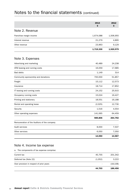|                                             | 2013<br>\$ | 2012<br>\$ |
|---------------------------------------------|------------|------------|
| Note 2. Revenue                             |            |            |
| Franchise margin income                     | 1,674,088  | 1,506,955  |
| Interest revenue                            | 21,279     | 4,895      |
| Other revenue                               | 23,963     | 9,129      |
|                                             | 1,719,330  | 1,520,979  |
| Note 3. Expenses                            |            |            |
| Advertising and marketing                   | 40,489     | 24,238     |
| ATM leasing and running costs               | 16,059     | 17,685     |
| <b>Bad debts</b>                            | 1,149      | 314        |
| Community sponsorship and donations         | 700,000    | 51,857     |
| Freight                                     | 15,112     | 12,573     |
| Insurance                                   | 18,714     | 17,852     |
| IT leasing and running costs                | 24,152     | 25,915     |
| Occupancy running costs                     | 15,024     | 16,427     |
| Printing and stationery                     | 18,551     | 16,188     |
| Rental and operating lease                  | (2,025)    | 12,730     |
| Security                                    | 1,516      | 4,554      |
| Other operating expenses                    | 141,065    | 64,459     |
|                                             | 989,806    | 264,792    |
| Remuneration of the Auditors of the company |            |            |
| Audit services                              | 8,000      | 7,537      |
| Other services                              | 6,050      | 7,050      |
|                                             | 14,050     | 14,587     |

## Note 4. Income tax expense

a. The components of tax expense comprise:

|                                          | 44.703  | 186,456   |
|------------------------------------------|---------|-----------|
| Over provision in respect of prior years | $\sim$  | (18, 108) |
| Deferred tax (Note 22)                   | (1,052) | 3,222     |
| Current tax                              | 45,755  | 201,342   |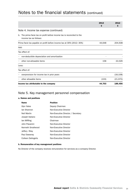|                                                                                                   | 2013<br>\$ | 2012<br>\$. |
|---------------------------------------------------------------------------------------------------|------------|-------------|
| Note 4. Income tax expense (continued)                                                            |            |             |
| b. The prima facie tax on profit before income tax is reconciled to the<br>income tax as follows: |            |             |
| Prima facie tax payable on profit before income tax at 30% (2012: 30%)                            | 44,648     | 204,508     |
| Add:                                                                                              |            |             |
| Tax effect of:                                                                                    |            |             |
| non-deductible depreciation and amortisation<br>$\bullet$                                         |            |             |
| other non-allowable items                                                                         | 158        | 22,026      |
| Less:                                                                                             |            |             |
| Tax effect of:                                                                                    |            |             |
| overprovision for income tax in prior years                                                       |            | (18, 108)   |
| other allowable items                                                                             | (103)      | (21, 970)   |
| Income tax attributable to the company                                                            | 44,703     | 186,456     |

### Note 5. Key management personnel compensation

#### a. Names and positions

| <b>Name</b>        | <b>Position</b>                    |
|--------------------|------------------------------------|
| Glyn Yates         | Deputy Chairman                    |
| Jan Shannon        | Non-Executive Director             |
| <b>Neil Martin</b> | Non-Executive Director / Secretary |
| Joseph Italiano    | Non-Executive Director             |
| lan Miffling       | Chairman                           |
| John Piavanini     | Non-Executive Director             |
| Kenneth Smallwood  | Non-Executive Director             |
| Jeffery Riley      | Non-Executive Director             |
| Paul Sweeney       | Non-Executive Director             |
| Colleen DeAngelis  | Non-Executive Director             |

#### b. Remuneration of key management positions

No Director of the company receives remuneration for services as a company Director.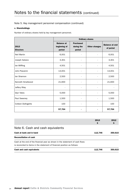#### Note 5. Key management personnel compensation (continued)

#### c. Shareholdings

Number of ordinary shares held by key management personnel.

|                          | <b>Ordinary shares</b>                      |                                          |                      |                                    |  |
|--------------------------|---------------------------------------------|------------------------------------------|----------------------|------------------------------------|--|
| 2013<br><b>Directors</b> | <b>Balance at</b><br>beginning of<br>period | <b>Purchased</b><br>during the<br>period | <b>Other changes</b> | <b>Balance at end</b><br>of period |  |
| <b>Neil Martin</b>       | 6,001                                       |                                          |                      | 6,001                              |  |
| Joseph Italiano          | 3,301                                       |                                          |                      | 3,301                              |  |
| lan Miffling             | 4,501                                       |                                          |                      | 4,501                              |  |
| John Piavanini           | 13,001                                      |                                          |                      | 13,001                             |  |
| lan Shannon              | 2,500                                       |                                          |                      | 2,500                              |  |
| Kenneth Smallwood        | 21,600                                      |                                          |                      | 21,600                             |  |
| Jeffery Riley            | $\overline{\phantom{m}}$                    |                                          | $\overline{a}$       |                                    |  |
| <b>Glyn Yates</b>        | 5,000                                       |                                          |                      | 5,000                              |  |
| Paul Sweeney             | 1,500                                       |                                          |                      | 1,500                              |  |
| Colleen DeAngelils       | 100                                         |                                          | ٠                    | 100                                |  |
|                          | 57,704                                      |                                          |                      | 57,704                             |  |

| Cash and cash equivalents                                                     | 112.746    | 350.615   |
|-------------------------------------------------------------------------------|------------|-----------|
| is reconciled to items in the statement of financial position as follows:     |            |           |
| Cash at the end of the financial year as shown in the statement of cash flows |            |           |
| <b>Reconciliation of cash</b>                                                 |            |           |
| Cash at bank and in hand                                                      | 112,746    | 350.615   |
| Note 6. Cash and cash equivalents                                             |            |           |
|                                                                               | 2013<br>\$ | 2012<br>Ş |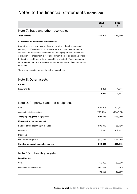|                                                                              | 2013<br>\$ | 2012<br>Ş |
|------------------------------------------------------------------------------|------------|-----------|
| Note 7. Trade and other receivables                                          |            |           |
| <b>Trade debtors</b>                                                         | 150,203    | 149,900   |
| a. Provision for impairment of receivables                                   |            |           |
| Current trade and term receivables are non-interest bearing loans and        |            |           |
| generally on 30-day terms. Non-current trade and term receivables are        |            |           |
| assessed for recoverability based on the underlying terms of the contract.   |            |           |
| A provision for impairment is recognised when there is an objective evidence |            |           |
| that an individual trade or term receivable is impaired. These amounts will  |            |           |

statement.

There is no provision for impairment of receivables.

### Note 8. Other assets

# Current

be included in the other expenses item of the statement of comprehensive

|             | 4.091 | 4.547 |
|-------------|-------|-------|
| Prepayments | 4,091 | 4,547 |

## Note 9. Property, plant and equipment

| Cost                                   | 821,325    | 802,714    |
|----------------------------------------|------------|------------|
| Accumulated depreciation               | (228, 780) | (206, 774) |
| Total property, plant & equipment      | 592,545    | 595,940    |
| Movement in carrying amount            |            |            |
| Balance at the beginning of the year   | 595.940    | 51,710     |
| Additions                              | 18,611     | 559.421    |
| <b>Disposals</b>                       |            |            |
| Depreciation expense                   | (22,006)   | (15, 191)  |
| Carrying amount at the end of the year | 592,545    | 595,940    |

## Note 10. Intangible assets

#### Franchise fee

|                          | 32,500   | 42,500  |
|--------------------------|----------|---------|
| Accumulated amortisation | (17,500) | (7,500) |
| Cost                     | 50,000   | 50,000  |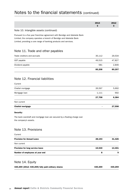|                                                                                                                                                                                                                        | 2013<br>\$ | 2012<br>\$ |
|------------------------------------------------------------------------------------------------------------------------------------------------------------------------------------------------------------------------|------------|------------|
| Note 10. Intangible assets (continued)                                                                                                                                                                                 |            |            |
| Pursuant to a five year franchise agreement with Bendigo and Adelaide Bank<br>Limited, the company operates a branch of Bendigo and Adelaide Bank<br>Limited, providing a core range of banking products and services. |            |            |
| Note 11. Trade and other payables                                                                                                                                                                                      |            |            |
| Trade creditors and accruals                                                                                                                                                                                           | 35,112     | 29,534     |
| GST payable                                                                                                                                                                                                            | 49,515     | 47,827     |
| Dividend payable                                                                                                                                                                                                       | 581        | 2,846      |
|                                                                                                                                                                                                                        | 85,208     | 80,207     |
| Note 12. Financial liabilities                                                                                                                                                                                         |            |            |
| Current                                                                                                                                                                                                                |            |            |
| Chattel mortgage                                                                                                                                                                                                       | 26,597     | 5,692      |
| Mortgage loan                                                                                                                                                                                                          | 1,111      | 692        |
|                                                                                                                                                                                                                        | 27,708     | 6,384      |
| Non current                                                                                                                                                                                                            |            |            |
| <b>Chattel mortgage</b>                                                                                                                                                                                                |            | 27,598     |
| <b>Security:</b>                                                                                                                                                                                                       |            |            |
| The bank overdraft and mortgage loan are secured by a floating charge over<br>the company's assets.                                                                                                                    |            |            |
| Note 13. Provisions                                                                                                                                                                                                    |            |            |
| Current                                                                                                                                                                                                                |            |            |
| <b>Provision for Annual Leave</b>                                                                                                                                                                                      | 28,193     | 31,426     |
| Non current                                                                                                                                                                                                            |            |            |
| Provision for long service leave                                                                                                                                                                                       | 15,540     | 13,401     |
| Number of employees at year end                                                                                                                                                                                        | 8          | 9          |

## Note 14. Equity

| 430,259 (2012: 430,259) fully paid ordinary shares | 430.259 | 430,259 |
|----------------------------------------------------|---------|---------|
|                                                    |         |         |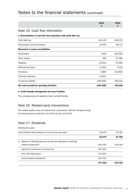|                                                                       | 2013<br>\$ | 2012<br>\$ |
|-----------------------------------------------------------------------|------------|------------|
| Note 15, Cash flow information                                        |            |            |
| a. Reconciliation of cash flow from operations with profit after tax: |            |            |
| Profit after tax                                                      | 104,123    | 495,237    |
| Depreciation and amortisation                                         | 32,005     | 28,171     |
| <b>Movement in assets and liabilities</b>                             |            |            |
| Receivables                                                           | (303)      | (50, 295)  |
| Other assets                                                          | 456        | 31,385     |
| Payables                                                              | (6, 541)   | 67,082     |
| Deferred tax asset                                                    | (1,052)    | 3,222      |
| Provisions                                                            | 9,865      | (13, 484)  |
| <b>Financial Liabilities</b>                                          | (5,691)    |            |
| Current tax liability                                                 | (299,050)  | 184,910    |
| Net cash provided by operating Activities                             | (166, 188) | 746,228    |

#### b. Credit Standby Arrangement and Loan Facilities

The company does not operate a bank overdraft facility.

### Note 16. Related party transactions

The related parties have not entered into a transaction with the company during the financial years ended 30 June 2012 and 30 June 2013.

## Note 17. Dividends

#### Distributions paid

|    | Final dividend (fully franked) of 12.34 cents per share       | 53,070    | 53,782  |
|----|---------------------------------------------------------------|-----------|---------|
|    |                                                               | 53,070    | 53,782  |
| b. | Balance of franking account at year end adjusted for franking |           |         |
|    | credits arising from:                                         | 143,763   | 143,763 |
| ٠  | payment of provision for income tax                           | 367,923   |         |
| ÷, | Prior Year Adjustment                                         | (11,524)  |         |
| ۰  | Less Dividend Imputations                                     | (22, 744) |         |
|    |                                                               | 477.418   | 143.763 |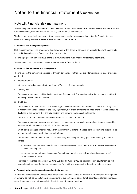### Note 18. Financial risk management

The company's financial instruments consist mainly of deposits with banks, local money market instruments, shortterm investments, accounts receivable and payable, loans, bills and leases.

The Directors' overall risk management strategy seeks to assist the company in meeting its financial targets, whilst minimising potential adverse effects on financial performance.

#### a. Financial risk management policies

Risk management policies are approved and reviewed by the Board of Directors on a regular basis. These include the credit risk policies and future cash flow requirements.

The main purpose of non-derivative financial instruments is to raise finance for company operations.

The company does not have any derivative instruments at 30 June 2013.

#### b. Financial risk exposures and management

The main risks the company is exposed to through its financial instruments are interest rate risk, liquidity risk and credit risk.

i. Interest rate risk

Interest rate risk is managed with a mixture of fixed and floating rate debt.

Ii. Liquidity risk

The company manages liquidity risk by monitoring forecast cash flows and ensuring that adequate unutilised borrowing facilities are maintained.

iii. Credit risk

The maximum exposure to credit risk, excluding the value of any collateral or other security, at reporting date to recognised financial assets, is the carrying amount, net of any provisions for impairment of those assets, as disclosed in the statement of financial position and notes to the financial statements.

There are no material amounts of collateral held as security at 30 June 2013.

The company does not have any material credit risk exposure to any single receivable or group of receivables under financial instruments entered into by the company.

Credit risk is managed reviewed regularly by the Board of Directors. It arises from exposures to customers as well as through deposits with financial institutions.

The Board of Directors monitors credit risk by actively assessing the rating quality and liquidity of counter parties:

- all potential customers are rated for credit worthiness taking into account their size, market position and financial standing; and
- customers that do not meet the company's strict credit policies may only purchase in cash or using recognised credit cards.

The trade receivables balances at 30 June 2012 and 30 June 2013 do not include any counterparties with external credit ratings. Customers are assessed for credit worthiness using the criteria detailed above.

#### c. Financial instrument composition and maturity analysis

The table below reflects the undiscounted contractual settlement terms for financial instruments of a fixed period of maturity, as well as management's expectations of the settlement period for all other financial instruments. As such, the amounts may not reconcile to the statement of financial position.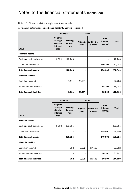### Note 18. Financial risk management (continued)

#### c. Financial instrument composition and maturity analysis (continued)

|                                    |                                                      | <b>Variable</b>                     |                  | <b>Fixed</b>             |                                   |              |
|------------------------------------|------------------------------------------------------|-------------------------------------|------------------|--------------------------|-----------------------------------|--------------|
| 2013                               | Weighted<br>average<br>effective<br>interest<br>rate | <b>Floating</b><br>interest<br>rate | Within 1<br>year | Within 1 to<br>5 years   | <b>Non</b><br>interest<br>bearing | <b>Total</b> |
| <b>Financial assets</b>            |                                                      |                                     |                  |                          |                                   |              |
| Cash and cash equivalents          | 0.95%                                                | 112,746                             |                  | ٠                        | $\blacksquare$                    | 112,746      |
| Loans and receivables              |                                                      |                                     | ٠                | $\blacksquare$           | 150,203                           | 150,203      |
| <b>Total financial assets</b>      |                                                      | 112,746                             | ٠                | $\overline{\phantom{a}}$ | 150,203                           | 262,949      |
| <b>Financial liability</b>         |                                                      |                                     |                  |                          |                                   |              |
| Bank loan secured                  |                                                      | 1,111                               | 26,597           | $\overline{\phantom{a}}$ | $\overline{\phantom{a}}$          | 27,708       |
| Trade and other payables           |                                                      |                                     |                  | $\overline{\phantom{a}}$ | 85,208                            | 85,208       |
| <b>Total financial liabilities</b> |                                                      | 1,111                               | 26,597           | $\blacksquare$           | 85,208                            | 112,916      |

|                                    |                                                      | <b>Variable</b>                     | <b>Fixed</b>     |                          |                                   |              |
|------------------------------------|------------------------------------------------------|-------------------------------------|------------------|--------------------------|-----------------------------------|--------------|
| 2012                               | Weighted<br>average<br>effective<br>interest<br>rate | <b>Floating</b><br>interest<br>rate | Within 1<br>year | Within 1 to<br>5 years   | <b>Non</b><br>interest<br>bearing | <b>Total</b> |
| <b>Financial assets</b>            |                                                      |                                     |                  |                          |                                   |              |
| Cash and cash equivalents          | 0.95%                                                | 350,615                             |                  | $\overline{a}$           | $\blacksquare$                    | 350,615      |
| Loans and receivables              |                                                      |                                     | $\blacksquare$   | $\overline{\phantom{a}}$ | 149,900                           | 149,900      |
| <b>Total financial assets</b>      |                                                      | 350,615                             | ۰                | $\blacksquare$           | 149,900                           | 500,515      |
| <b>Financial liability</b>         |                                                      |                                     |                  |                          |                                   |              |
| Bank loan secured                  |                                                      | 692                                 | 5,692            | 27,598                   |                                   | 33,982       |
| Trade and other payables           |                                                      | ٠                                   | Ξ.               | $\overline{\phantom{a}}$ | 80,207                            | 80,207       |
| <b>Total financial liabilities</b> |                                                      | 692                                 | 6,692            | 26,598                   | 80,207                            | 114,189      |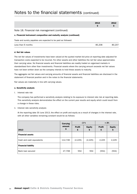|                                                                       | 2013<br>Ş | 2012<br>Ş |  |  |  |  |
|-----------------------------------------------------------------------|-----------|-----------|--|--|--|--|
| Note 18. Financial risk management (continued)                        |           |           |  |  |  |  |
| c. Financial instrument composition and maturity analysis (continued) |           |           |  |  |  |  |
| Trade and sundry payables are expected to be paid as followed:        |           |           |  |  |  |  |
| Less than 6 months                                                    | 85,208    | 80.207    |  |  |  |  |

#### d. Net fair values

The net fair values of investments have been valued at the quoted market bid price at reporting date adjusted for transaction costs expected to be incurred. For other assets and other liabilities the net fair value approximates their carrying value. No financial assets and financial liabilities are readily traded on organised markets in standardised form other than investments. Financial assets where the carrying amount exceeds net fair values have not been written down as the company intends to hold these assets to maturity.

The aggregate net fair values and carrying amounts of financial assets and financial liabilities are disclosed in the statement of financial position and in the notes to the financial statements.

Fair values are materially in line with carrying values.

#### e. Sensitivity analysis

I. Interest rate risk

The company has performed a sensitivity analysis relating to its exposure to interest rate risk at reporting date. This sensitivity analysis demonstrates the effect on the current year results and equity which could result from a change in these risks.

ii. Interest rate sensitivity analysis

At the reporting date 30 June 2013, the effect on profit and equity as a result of changes in the interest rate, with all other variables remaining constant would be as follows:

|                            | Carrying     | $-2%$               |                    | $+2%$               |                     |
|----------------------------|--------------|---------------------|--------------------|---------------------|---------------------|
| 2013                       | amount<br>\$ | <b>Profit</b><br>\$ | <b>Equity</b><br>Ş | <b>Profit</b><br>\$ | <b>Equity</b><br>\$ |
| <b>Financial assets</b>    |              |                     |                    |                     |                     |
| Cash and cash equivalents  | 112,746      | (2, 225)            | (2,225)            | 2,225               | 2,225               |
| <b>Financial liability</b> |              |                     |                    |                     |                     |
| Bank loan secured          | 27,708       | 554                 | 554                | (554)               | (554)               |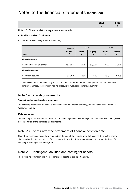| 2013 | 2012 |
|------|------|
|      |      |
|      |      |
|      |      |
|      |      |

#### Note 18. Financial risk management (continued)

#### e. Sensitivity analysis (continued)

ii. Interest rate sensitivity analysis (continued)

|                            | Carrying     | $-2%$               |                    | $+2%$               |                     |
|----------------------------|--------------|---------------------|--------------------|---------------------|---------------------|
| 2012                       | amount<br>\$ | <b>Profit</b><br>\$ | <b>Equity</b><br>Ş | <b>Profit</b><br>\$ | <b>Equity</b><br>\$ |
| <b>Financial assets</b>    |              |                     |                    |                     |                     |
| Cash and cash equivalents  | 350,615      | (7,012)             | (7,012)            | 7,012               | 7,012               |
| <b>Financial liability</b> |              |                     |                    |                     |                     |
| Bank loan secured          | 33,982       | 680                 | 680                | (680)               | (680)               |

The above interest rate sensitivity analysis has been performed on the assumption that all other variables remain unchanged. The company has no exposure to fluctuations in foreign currency.

### Note 19. Operating segments

#### Types of products and services by segment

The company operates in the financial services sector as a branch of Bendigo and Adelaide Bank Limited in Western Australia.

#### Major customers

The company operates under the terms of a franchise agreement with Bendigo and Adelaide Bank Limited, which accounts for all of the franchise margin income.

## Note 20. Events after the statement of financial position date

No matters or circumstances have arisen since the end of the financial year that significantly affected or may significantly affect the operations of the company, the results of those operations, or the state of affairs of the company in subsequent financial years.

## Note 21. Contingent liabilities and contingent assets

There were no contingent liabilities or contingent assets at the reporting date.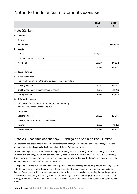|    |                                                                                                     | 2013<br>Ś | 2012<br>\$ |
|----|-----------------------------------------------------------------------------------------------------|-----------|------------|
|    | Note 22. Tax                                                                                        |           |            |
|    | a. Liability                                                                                        |           |            |
|    | Current                                                                                             |           |            |
|    | Income tax                                                                                          |           | (184, 910) |
|    | b. Assets                                                                                           |           |            |
|    | Current                                                                                             | 114,140   |            |
|    | Deferred tax assets comprise:                                                                       |           |            |
|    | Provisions                                                                                          | 15,174    | 14,122     |
|    |                                                                                                     | 15,174    | 14,122     |
| c. | <b>Reconciliations</b>                                                                              |           |            |
| i. | Gross movements                                                                                     |           |            |
|    | The overall movement in the deferred tax account is as follows:                                     |           |            |
|    | Opening balance                                                                                     | 14,122    | 17,344     |
|    | Credit to statement of comprehensive income                                                         | 1,052     | (3,222)    |
|    | <b>Closing balance</b>                                                                              | 15,174    | 14,122     |
|    | ii. Deferred Tax Assets                                                                             |           |            |
|    | The movement in deferred tax assets for each temporary<br>difference during the year is as follows: |           |            |
|    | Provisions                                                                                          |           |            |
|    | Opening balance                                                                                     | 14,122    | 17,344     |
|    | Credit to the statement of comprehensive                                                            |           |            |
|    | income                                                                                              | 1,052     | (3, 222)   |
|    | <b>Closing balance</b>                                                                              | 15,174    | 14,122     |

## Note 23. Economic dependency – Bendigo and Adelaide Bank Limited

The company has entered into a franchise agreement with Bendigo and Adelaide Bank Limited that governs the management of the **Community Bank®** branches at Collie, Western Australia.

The branches operate as a franchise of Bendigo Bank, using the name "Bendigo Bank" and the logo and system of operations of Bendigo Bank. The company manages the Community Bank® branches on behalf of the Bendigo Bank, however all transactions with customers conducted through the Community Bank® branches are effectively conducted between the customers and Bendigo Bank.

All deposits are made with Bendigo Bank, and all personal and investment products are products of Bendigo Bank, with the company facilitating the provision of those products. All loans, leases or hire purchase transactions, issues of new credit or debit cards, temporary or bridging finance and any other transaction that involves creating a new debt, or increasing or changing the terms of an existing debt owed to Bendigo Bank, must be approved by Bendigo Bank. All credit transactions are made with Bendigo Bank, and all credit products are products of Bendigo Bank.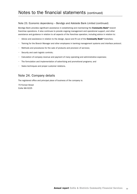#### Note 23. Economic dependency – Bendigo and Adelaide Bank Limited (continued)

Bendigo Bank provides significant assistance in establishing and maintaining the Community Bank® branch franchise operations. It also continues to provide ongoing management and operational support, and other assistance and guidance in relation to all aspects of the franchise operation, including advice in relation to:

- Advice and assistance in relation to the design, layout and fit out of the **Community Bank®** branches;
- Training for the Branch Manager and other employees in banking management systems and interface protocol;
- Methods and procedures for the sale of products and provision of services;
- • Security and cash logistic controls;
- • Calculation of company revenue and payment of many operating and administrative expenses;
- The formulation and implementation of advertising and promotional programs; and
- • Sales techniques and proper customer relations.

### Note 24. Company details

The registered office and principal place of business of the company is:

70 Forrest Street Collie WA 6225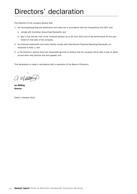# Directors' declaration

The Directors of the company declare that:

- 1. the accompanying financial statements and notes are in accordance with the Corporations Act 2001 and:
	- a. comply with Australian Accounting Standards; and
	- b. give a true and fair view of the financial position as at 30 June 2013 and of the performance for the year ended on that date of the company;
- 2. the financial statements and notes thereto comply with International Financial Reporting Standards, as disclosed in Note 1; and
- 3. in the Directors' opinion there are reasonable grounds to believe that the company will be able to pay its debts as and when they become due and payable; and

This declaration is made in accordance with a resolution of the Board of Directors.

a magasi

Ian Miffling Director

Dated 2 October 2013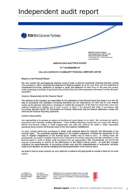# Independent audit report



#### **INDEPENDENT AUDITOR'S REPORT**

www.rsmi.com.au

#### TO THE MEMBERS OF

#### **COLLIE & DISTRICTS COUMMUNITY FINANCIAL SERVICES LIMITED**

#### Report on the Financial Report

We have audited the accompanying financial report of Collie & Districts Community Financial Services Limited ("the company"), which comprises the statement of financial position as at 30 June 2013, and the statement of comprehensive income, statement of changes in equity and statement of cash flows for the year then ended, notes comprising a summary of significant accounting policies and other explanatory information and the directors' declaration

#### Directors' Responsibility for the Financial Report

The directors of the company are responsible for the preparation of the financial report that gives a true and fair view in accordance with Australian Accounting Standards and the Corporations Act 2001 and for such internal control as the directors determine is necessary to enable the preparation of the financial report that is free from material misstatement, whether due to fraud or error. In Note 1, the directors also state, in accordance with Accounting Standard AASB 101 Presentation of Financial Statements, that the financial statements comply with International Financial Reporting Standards.

#### Auditor's Responsibility

Our responsibility is to express an opinion on the financial report based on our audit. We conducted our audit in accordance with Australian Auditing Standards. These Auditing Standards require that we comply with relevant ethical requirements relating to audit engagements and plan and perform the audit to obtain reasonable assurance about whether the financial report is free from material misstatement.

An audit involves performing procedures to obtain audit evidence about the amounts and disclosures in the financial report. The procedures selected depend on the auditor's judgement, including the assessment of the risks of material misstatement of the financial report, whether due to fraud or error. In making those risk assessments, the auditor considers internal control relevant to the entity's preparation and fair presentation of the financial report in order to design audit procedures that are appropriate in the circumstances, but not for the purpose of expressing an opinion on the effectiveness of the entity's internal control. An audit also includes evaluating the appropriateness of accounting policies used and the reasonableness of accounting estimates made by the directors, as well as evaluating the overall presentation of the financial report.

We believe that the audit evidence we have obtained is sufficient and appropriate to provide a basis for our audit ppinion.

cailty limited by a scheme approved under Professional Standards Lec'slation

Major Offices in: Perth, Sydney, Melbourne. Adelaide and Camberra ABN 36 965 165 036

RSM Bird Cameron Partners is a member of the RSM network, Each member of the RSM network is an independent accounting and acvisory firm which practises in its own right. The RSM network is not itself a separate legal entity in any jurisdiction.

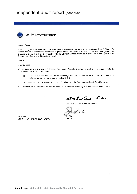

#### independence

In conducting our audit, we have complied with the independence requirements of the Corporations Act 2001. We confirm that the independence declaration required by the Corporations Act 2001, which has been given to the directors of Collie & Districts Community Financial Services Limited, would be in the same terms if given to the directors as at the time of this auditor's report.

Opinion

In our opinion:

- (a) the financial report of Collie & Districts Community Financial Services Limited is in accordance with the Corporations Act 2001, including:
	- giving a true and fair view of the company's financial position as at 30 June 2013 and of its  $\langle i \rangle$ performance for the year ended on that date; and
	- complying with Australian Accounting Standards and the Corporations Regulations 2001; and  $(ii)$
- $(b)$ the financial report also complies with International Financial Reporting Standards as disclosed in Note 1.

RSM Bid Camera, Partes.

RSM BIRD CAMERON PARTNERS

 $\mathcal{L}$ f.

**DU WALL** Partner

Perth, WA  $300000022013$ Dated: